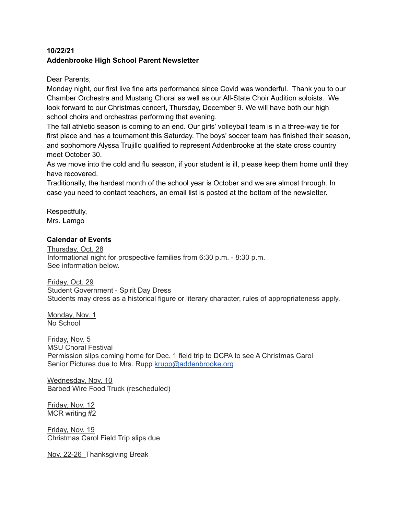# **10/22/21 Addenbrooke High School Parent Newsletter**

Dear Parents,

Monday night, our first live fine arts performance since Covid was wonderful. Thank you to our Chamber Orchestra and Mustang Choral as well as our All-State Choir Audition soloists. We look forward to our Christmas concert, Thursday, December 9. We will have both our high school choirs and orchestras performing that evening.

The fall athletic season is coming to an end. Our girls' volleyball team is in a three-way tie for first place and has a tournament this Saturday. The boys' soccer team has finished their season, and sophomore Alyssa Trujillo qualified to represent Addenbrooke at the state cross country meet October 30.

As we move into the cold and flu season, if your student is ill, please keep them home until they have recovered.

Traditionally, the hardest month of the school year is October and we are almost through. In case you need to contact teachers, an email list is posted at the bottom of the newsletter.

Respectfully, Mrs. Lamgo

# **Calendar of Events**

Thursday, Oct. 28 Informational night for prospective families from 6:30 p.m. - 8:30 p.m. See information below.

Friday, Oct. 29 Student Government - Spirit Day Dress Students may dress as a historical figure or literary character, rules of appropriateness apply.

Monday, Nov. 1 No School

Friday, Nov. 5 MSU Choral Festival Permission slips coming home for Dec. 1 field trip to DCPA to see A Christmas Carol Senior Pictures due to Mrs. Rupp [krupp@addenbrooke.org](mailto:krupp@addenbrooke.org)

Wednesday, Nov. 10 Barbed Wire Food Truck (rescheduled)

Friday, Nov. 12 MCR writing #2

Friday, Nov. 19 Christmas Carol Field Trip slips due

Nov. 22-26 Thanksgiving Break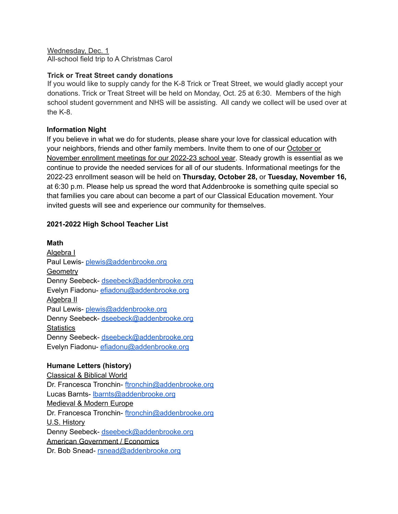Wednesday, Dec. 1 All-school field trip to A Christmas Carol

#### **Trick or Treat Street candy donations**

If you would like to supply candy for the K-8 Trick or Treat Street, we would gladly accept your donations. Trick or Treat Street will be held on Monday, Oct. 25 at 6:30. Members of the high school student government and NHS will be assisting. All candy we collect will be used over at the K-8.

## **Information Night**

If you believe in what we do for students, please share your love for classical education with your neighbors, friends and other family members. Invite them to one of our October or November enrollment meetings for our 2022-23 school year. Steady growth is essential as we continue to provide the needed services for all of our students. Informational meetings for the 2022-23 enrollment season will be held on **Thursday, October 28,** or **Tuesday, November 16,** at 6:30 p.m. Please help us spread the word that Addenbrooke is something quite special so that families you care about can become a part of our Classical Education movement. Your invited guests will see and experience our community for themselves.

## **2021-2022 High School Teacher List**

#### **Math**

Algebra I Paul Lewis- [plewis@addenbrooke.org](mailto:plewis@addenbrooke.org) **Geometry** Denny Seebeck- [dseebeck@addenbrooke.org](mailto:dseebeck@addenbrooke.org) Evelyn Fiadonu- [efiadonu@addenbrooke.org](mailto:efiadonu@addenbrooke.org) Algebra II Paul Lewis- [plewis@addenbrooke.org](mailto:plewis@addenbrooke.org) Denny Seebeck- [dseebeck@addenbrooke.org](mailto:dseebeck@addenbrooke.org) **Statistics** Denny Seebeck- [dseebeck@addenbrooke.org](mailto:dseebeck@addenbrooke.org) Evelyn Fiadonu- [efiadonu@addenbrooke.org](mailto:efiadonu@addenbrooke.org)

## **Humane Letters (history)**

Classical & Biblical World Dr. Francesca Tronchin- [ftronchin@addenbrooke.org](mailto:ftronchin@addenbrooke.org) Lucas Barnts- [lbarnts@addenbrooke.org](mailto:lbarnts@addenbrooke.org) Medieval & Modern Europe Dr. Francesca Tronchin- [ftronchin@addenbrooke.org](mailto:ftronchin@addenbrooke.org) U.S. History Denny Seebeck- [dseebeck@addenbrooke.org](mailto:dseebeck@addenbrooke.org) American Government / Economics Dr. Bob Snead- [rsnead@addenbrooke.org](mailto:rsnead@addenbrooke.org)